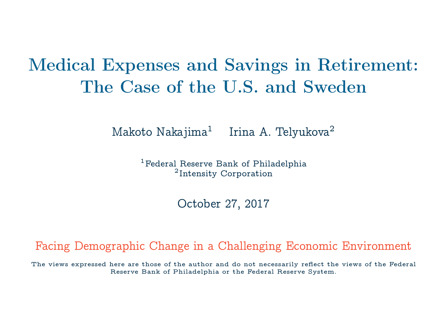# Medical Expenses and Savings in Retirement: The Case of the U.S. and Sweden

 $M$ akoto Nakajima $^1$ Irina A. Telvukova<sup>2</sup>

> <sup>1</sup>Federal Reserve Bank of Philadelphia 2 Intensity Corporation

> > October 27, 2017

Facing Demographic Change in a Challenging Economic Environment

The views expressed here are those of the author and do not necessarily reflect the views of the Federal Reserve Bank of Philadelphia or the Federal Reserve System.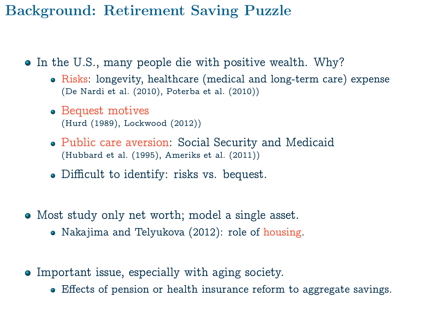### Background: Retirement Saving Puzzle

- In the U.S., many people die with positive wealth. Why?
	- Risks: longevity, healthcare (medical and long-term care) expense (De Nardi et al. (2010), Poterba et al. (2010))
	- Bequest motives (Hurd (1989), Lockwood (2012))
	- Public care aversion: Social Security and Medicaid (Hubbard et al. (1995), Ameriks et al. (2011))
	- Difficult to identify: risks vs. bequest.
- Most study only net worth; model a single asset.
	- Nakajima and Telyukova (2012): role of housing.
- Important issue, especially with aging society.
	- Effects of pension or health insurance reform to aggregate savings.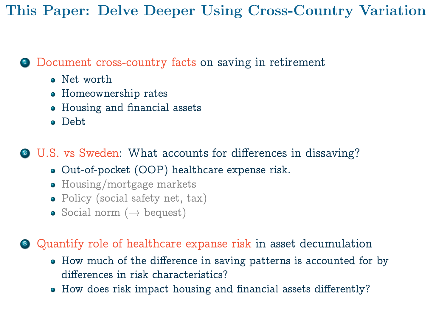This Paper: Delve Deeper Using Cross-Country Variation

#### <sup>1</sup> Document cross-country facts on saving in retirement

- Net worth
- Homeownership rates
- Housing and financial assets
- Debt

<sup>2</sup> U.S. vs Sweden: What accounts for differences in dissaving?

- Out-of-pocket (OOP) healthcare expense risk.
- Housing/mortgage markets
- Policy (social safety net, tax)
- Social norm  $(\rightarrow$  bequest)

<sup>3</sup> Quantify role of healthcare expanse risk in asset decumulation

- How much of the difference in saving patterns is accounted for by differences in risk characteristics?
- How does risk impact housing and financial assets differently?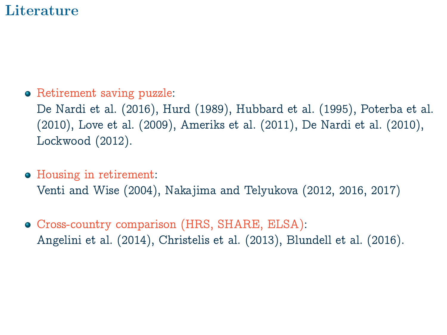### **Literature**

• Retirement saving puzzle:

De Nardi et al. (2016), Hurd (1989), Hubbard et al. (1995), Poterba et al. (2010), Love et al. (2009), Ameriks et al. (2011), De Nardi et al. (2010), Lockwood (2012).

Housing in retirement:

Venti and Wise (2004), Nakajima and Telyukova (2012, 2016, 2017)

Cross-country comparison (HRS, SHARE, ELSA): Angelini et al. (2014), Christelis et al. (2013), Blundell et al. (2016).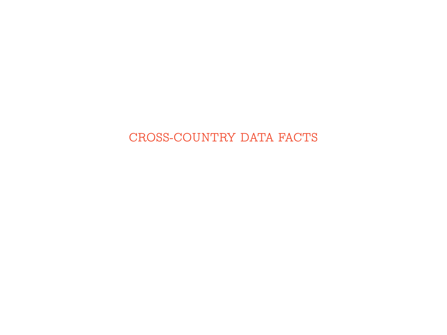#### CROSS-COUNTRY DATA FACTS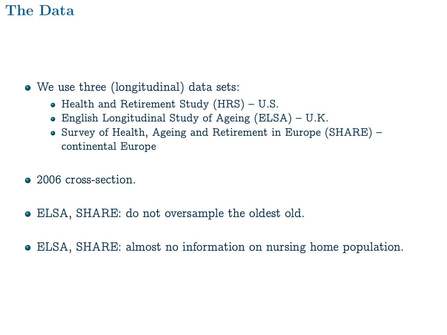### The Data

- We use three (longitudinal) data sets:
	- Health and Retirement Study (HRS) U.S.
	- English Longitudinal Study of Ageing (ELSA) U.K.
	- Survey of Health, Ageing and Retirement in Europe (SHARE) continental Europe
- 2006 cross-section.
- ELSA, SHARE: do not oversample the oldest old.
- ELSA, SHARE: almost no information on nursing home population.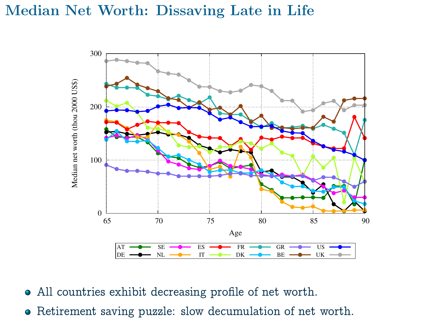### Median Net Worth: Dissaving Late in Life



- All countries exhibit decreasing profile of net worth.
- Retirement saving puzzle: slow decumulation of net worth.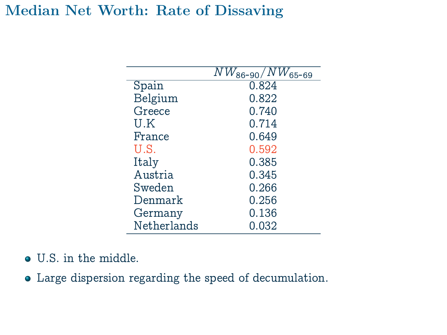### Median Net Worth: Rate of Dissaving

|             | $NW_{86-90}/NW_{65-69}$ |
|-------------|-------------------------|
| Spain       | 0.824                   |
| Belgium     | 0.822                   |
| Greece      | 0.740                   |
| U.K         | 0.714                   |
| France      | 0.649                   |
| U.S.        | 0.592                   |
| Italy       | 0.385                   |
| Austria     | 0.345                   |
| Sweden      | 0.266                   |
| Denmark     | 0.256                   |
| Germany     | 0.136                   |
| Netherlands | 0.032                   |

U.S. in the middle.

Large dispersion regarding the speed of decumulation.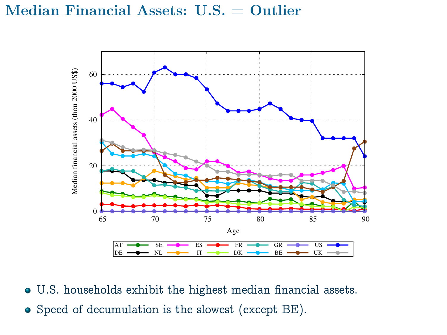#### Median Financial Assets: U.S. = Outlier



U.S. households exhibit the highest median financial assets. Speed of decumulation is the slowest (except BE).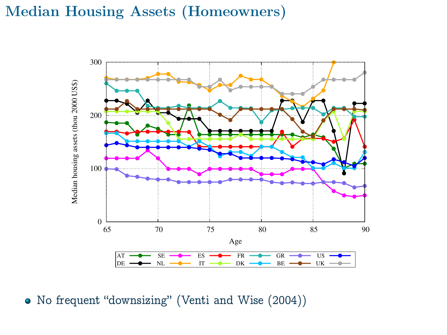### Median Housing Assets (Homeowners)



No frequent "downsizing" (Venti and Wise (2004))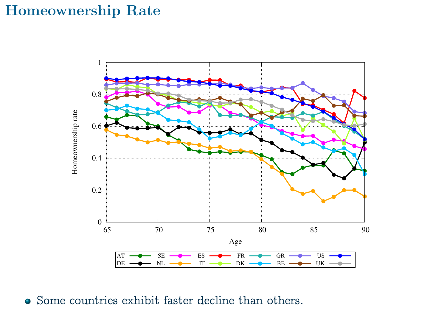### Homeownership Rate



• Some countries exhibit faster decline than others.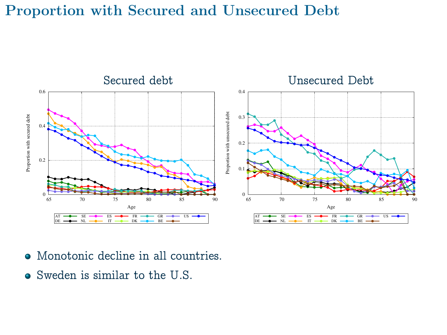### Proportion with Secured and Unsecured Debt



- Monotonic decline in all countries.
- Sweden is similar to the U.S.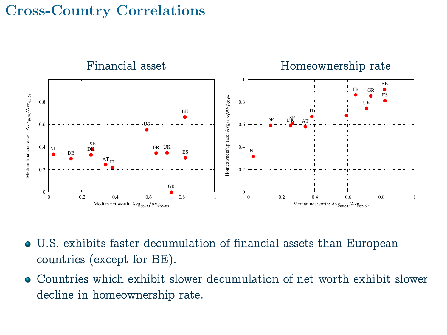### Cross-Country Correlations



- U.S. exhibits faster decumulation of financial assets than European countries (except for BE).
- Countries which exhibit slower decumulation of net worth exhibit slower decline in homeownership rate.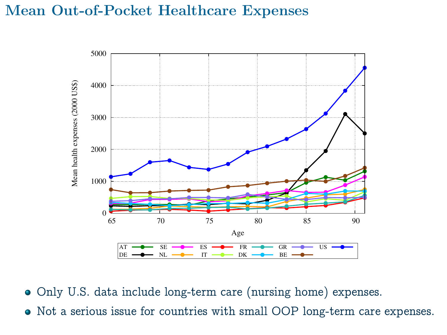### Mean Out-of-Pocket Healthcare Expenses



Only U.S. data include long-term care (nursing home) expenses.

Not a serious issue for countries with small OOP long-term care expenses.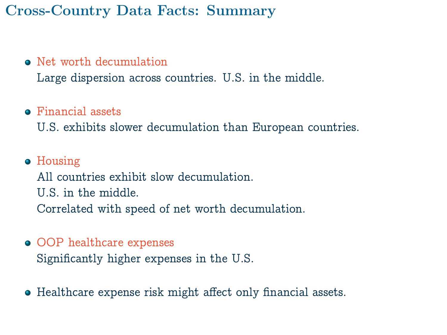### Cross-Country Data Facts: Summary

#### • Net worth decumulation

Large dispersion across countries. U.S. in the middle.

#### **•** Financial assets

U.S. exhibits slower decumulation than European countries.

- Housing All countries exhibit slow decumulation. U.S. in the middle. Correlated with speed of net worth decumulation.
- OOP healthcare expenses Significantly higher expenses in the U.S.
- Healthcare expense risk might affect only financial assets.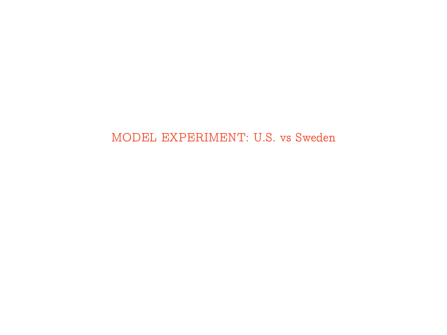#### MODEL EXPERIMENT: U.S. vs Sweden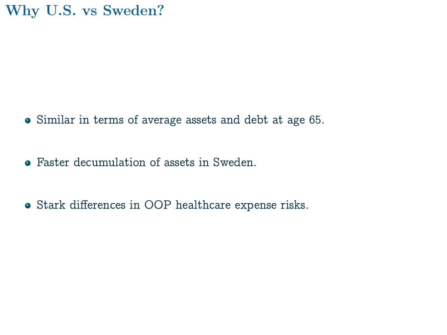### Why U.S. vs Sweden?

- Similar in terms of average assets and debt at age 65.
- Faster decumulation of assets in Sweden.
- Stark differences in OOP healthcare expense risks.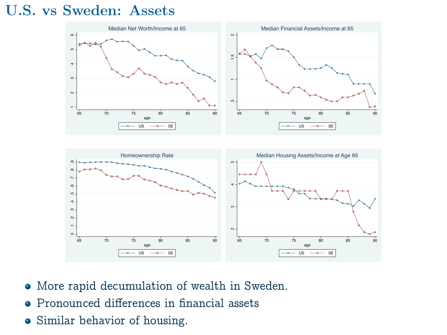### U.S. vs Sweden: Assets





- More rapid decumulation of wealth in Sweden.
- Pronounced differences in financial assets
- Similar behavior of housing.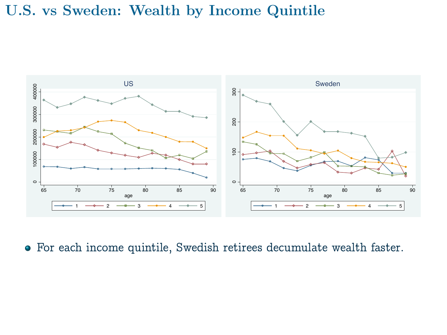#### U.S. vs Sweden: Wealth by Income Quintile



For each income quintile, Swedish retirees decumulate wealth faster.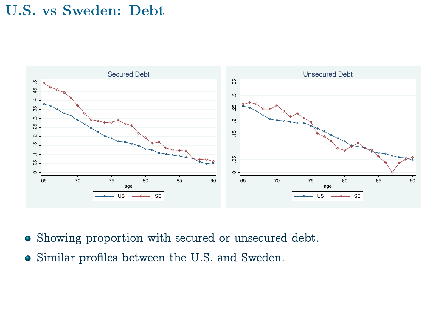### U.S. vs Sweden: Debt



- Showing proportion with secured or unsecured debt.
- Similar profiles between the U.S. and Sweden.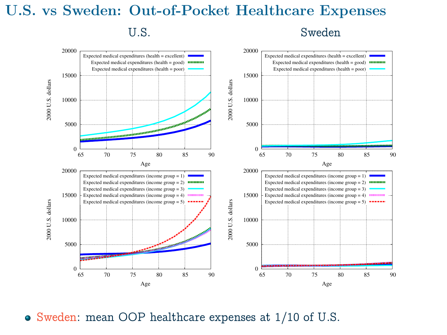## U.S. vs Sweden: Out-of-Pocket Healthcare Expenses U.S. Sweden



Sweden: mean OOP healthcare expenses at 1/10 of U.S.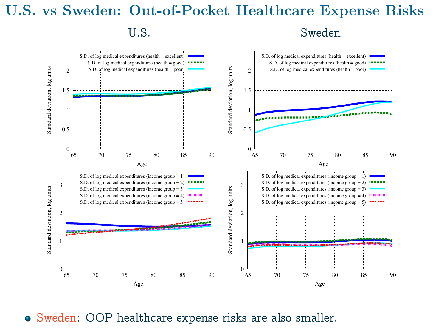## U.S. vs Sweden: Out-of-Pocket Healthcare Expense Risks U.S. Sweden



Sweden: OOP healthcare expense risks are also smaller.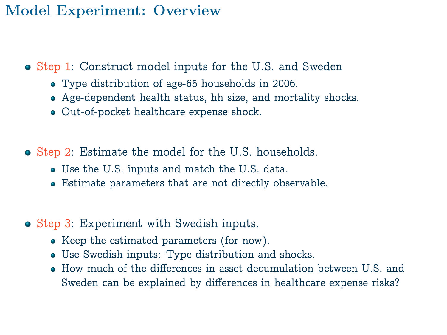### Model Experiment: Overview

- Step 1: Construct model inputs for the U.S. and Sweden
	- Type distribution of age-65 households in 2006.
	- Age-dependent health status, hh size, and mortality shocks.
	- Out-of-pocket healthcare expense shock.
- Step 2: Estimate the model for the U.S. households.
	- Use the U.S. inputs and match the U.S. data.
	- Estimate parameters that are not directly observable.
- Step 3: Experiment with Swedish inputs.
	- Keep the estimated parameters (for now).
	- Use Swedish inputs: Type distribution and shocks.
	- $\bullet$  How much of the differences in asset decumulation between U.S. and Sweden can be explained by differences in healthcare expense risks?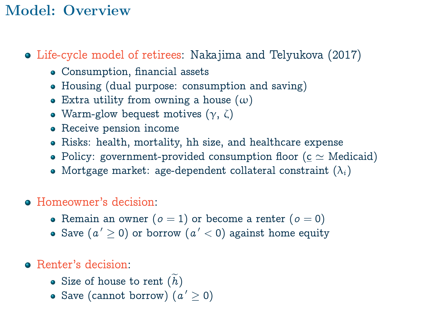### Model: Overview

- Life-cycle model of retirees: Nakajima and Telyukova (2017)
	- Consumption, financial assets
	- Housing (dual purpose: consumption and saving)
	- Extra utility from owning a house  $(\omega)$
	- Warm-glow bequest motives  $(\gamma, \zeta)$
	- Receive pension income
	- Risks: health, mortality, hh size, and healthcare expense
	- Policy: government-provided consumption floor ( $c \simeq$  Medicaid)
	- Mortgage market: age-dependent collateral constraint  $(\lambda_i)$

### Homeowner's decision:

- Remain an owner  $(o = 1)$  or become a renter  $(o = 0)$
- Save  $(a' \ge 0)$  or borrow  $(a' < 0)$  against home equity

### • Renter's decision:

- Size of house to rent  $(h)$
- Save (cannot borrow)  $(a' \geq 0)$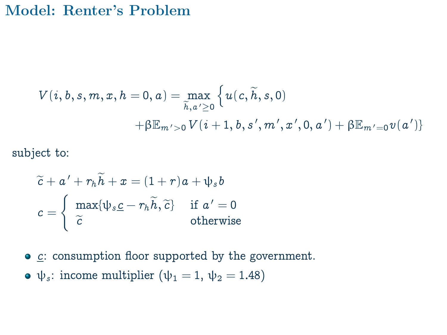#### Model: Renter's Problem

$$
V(i, b, s, m, x, h = 0, a) = \max_{\widetilde{h}, a' \ge 0} \left\{ u(c, \widetilde{h}, s, 0) + \beta \mathbb{E}_{m' > 0} V(i + 1, b, s', m', x', 0, a') + \beta \mathbb{E}_{m' = 0} v(a') \right\}
$$

subject to:

$$
\widetilde{c} + a' + r_h \widetilde{h} + x = (1+r)a + \psi_s b
$$

$$
c = \begin{cases} \max{\{\psi_s \underline{c} - r_h \widetilde{h}, \widetilde{c}\}} & \text{if } a' = 0\\ \widetilde{c} & \text{otherwise} \end{cases}
$$

- $\bullet$  c: consumption floor supported by the government.
- $\bullet \psi_s$ : income multiplier ( $\psi_1 = 1, \psi_2 = 1.48$ )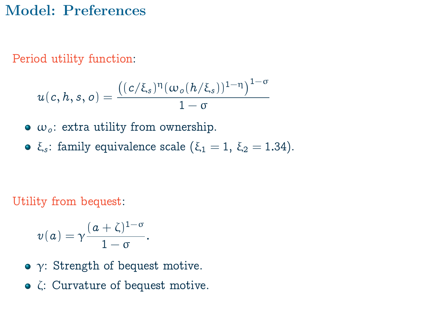### Model: Preferences

Period utility function:

$$
u(c, h, s, o) = \frac{((c/\xi_s)^{\eta}(\omega_o(h/\xi_s))^{1-\eta})^{1-\sigma}}{1-\sigma}
$$

- $\bullet$   $\omega_o$ : extra utility from ownership.
- ξ<sub>s</sub>: family equivalence scale (ξ<sub>1</sub> = 1, ξ<sub>2</sub> = 1.34).

Utility from bequest:

$$
v(a) = \gamma \frac{(a+\zeta)^{1-\sigma}}{1-\sigma}.
$$

- $\bullet$  γ: Strength of bequest motive.
- ζ: Curvature of bequest motive.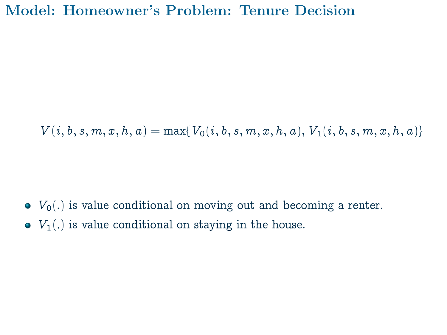### Model: Homeowner's Problem: Tenure Decision

 $V(i, b, s, m, x, h, a) = \max\{V_0(i, b, s, m, x, h, a), V_1(i, b, s, m, x, h, a)\}\$ 

- $\bullet$   $V_0(.)$  is value conditional on moving out and becoming a renter.
- $\bullet$   $V_1(.)$  is value conditional on staying in the house.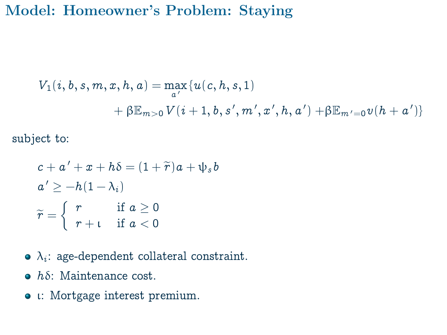### Model: Homeowner's Problem: Staying

$$
V_1(i, b, s, m, x, h, a) = \max_{a'} \{u(c, h, s, 1) + \beta \mathbb{E}_{m>0} V(i+1, b, s', m', x', h, a') + \beta \mathbb{E}_{m'=0} v(h+a')\}
$$

subject to:

$$
c + a' + x + h\delta = (1 + \widetilde{r})a + \psi_s b
$$
  
\n
$$
a' \ge -h(1 - \lambda_i)
$$
  
\n
$$
\widetilde{r} = \begin{cases} r & \text{if } a \ge 0 \\ r + t & \text{if } a < 0 \end{cases}
$$

- $\lambda_i$ : age-dependent collateral constraint.
- $\bullet$  h $\delta$ : Maintenance cost.
- ι: Mortgage interest premium.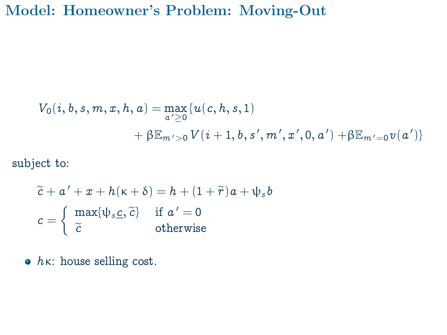### Model: Homeowner's Problem: Moving-Out

$$
V_0(i, b, s, m, x, h, a) = \max_{a' \ge 0} \{u(c, h, s, 1) + \beta \mathbb{E}_{m' > 0} V(i + 1, b, s', m', x', 0, a') + \beta \mathbb{E}_{m' = 0} v(a')\}
$$

subject to:

$$
\widetilde{c} + a' + x + h(\kappa + \delta) = h + (1 + \widetilde{r})a + \psi_s b
$$

$$
c = \begin{cases} \max{\{\psi_s \underline{c}, \widetilde{c}\}} & \text{if } a' = 0\\ \widetilde{c} & \text{otherwise} \end{cases}
$$

 $\bullet$   $h\kappa$ : house selling cost.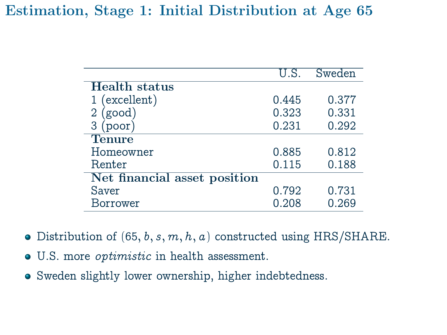### Estimation, Stage 1: Initial Distribution at Age 65

|                              | U.S.  | Sweden |  |  |  |  |
|------------------------------|-------|--------|--|--|--|--|
| <b>Health</b> status         |       |        |  |  |  |  |
| 1 (excellent)                | 0.445 | 0.377  |  |  |  |  |
| $2$ (good)                   | 0.323 | 0.331  |  |  |  |  |
| 3 (poor)                     | 0.231 | 0.292  |  |  |  |  |
| <b>Tenure</b>                |       |        |  |  |  |  |
| Homeowner                    | 0.885 | 0.812  |  |  |  |  |
| Renter                       | 0.115 | 0.188  |  |  |  |  |
| Net financial asset position |       |        |  |  |  |  |
| Saver                        | 0.792 | 0.731  |  |  |  |  |
| Borrower                     | 0.208 | 0.269  |  |  |  |  |

- $\bullet$  Distribution of (65, b, s, m, h, a) constructed using HRS/SHARE.
- U.S. more optimistic in health assessment.
- Sweden slightly lower ownership, higher indebtedness.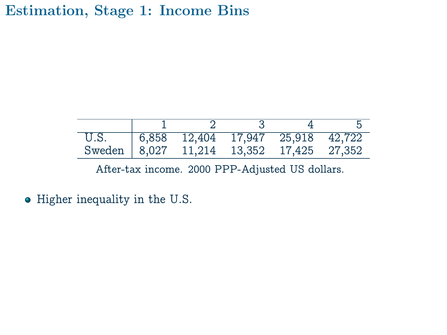### Estimation, Stage 1: Income Bins

| U.S.                                     | 6,858 12,404 17,947 25,918 42,722 |  |  |
|------------------------------------------|-----------------------------------|--|--|
| Sweden 8,027 11,214 13,352 17,425 27,352 |                                   |  |  |

After-tax income. 2000 PPP-Adjusted US dollars.

• Higher inequality in the U.S.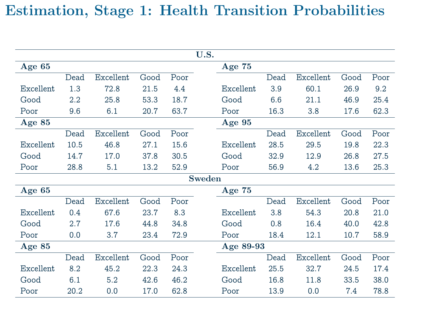### Estimation, Stage 1: Health Transition Probabilities

| U.S.      |      |           |      |      |        |           |      |           |      |      |
|-----------|------|-----------|------|------|--------|-----------|------|-----------|------|------|
| Age $65$  |      |           |      |      |        | Age 75    |      |           |      |      |
|           | Dead | Excellent | Good | Poor |        |           | Dead | Excellent | Good | Poor |
| Excellent | 1.3  | 72.8      | 21.5 | 4.4  |        | Excellent | 3.9  | 60.1      | 26.9 | 9.2  |
| Good      | 2.2  | 25.8      | 53.3 | 18.7 |        | Good      | 6.6  | 21.1      | 46.9 | 25.4 |
| Poor      | 9.6  | 6.1       | 20.7 | 63.7 |        | Poor      | 16.3 | 3.8       | 17.6 | 62.3 |
| Age $85$  |      |           |      |      |        | Age $95$  |      |           |      |      |
|           | Dead | Excellent | Good | Poor |        |           | Dead | Excellent | Good | Poor |
| Excellent | 10.5 | 46.8      | 27.1 | 15.6 |        | Excellent | 28.5 | 29.5      | 19.8 | 22.3 |
| Good      | 14.7 | 17.0      | 37.8 | 30.5 |        | Good      | 32.9 | 12.9      | 26.8 | 27.5 |
| Poor      | 28.8 | 5.1       | 13.2 | 52.9 |        | Poor      | 56.9 | 4.2       | 13.6 | 25.3 |
|           |      |           |      |      | Sweden |           |      |           |      |      |
| Age $65$  |      |           |      |      |        | Age $75$  |      |           |      |      |
|           | Dead | Excellent | Good | Poor |        |           | Dead | Excellent | Good | Poor |
| Excellent | 0.4  | 67.6      | 23.7 | 8.3  |        | Excellent | 3.8  | 54.3      | 20.8 | 21.0 |
| Good      | 2.7  | 17.6      | 44.8 | 34.8 |        | Good      | 0.8  | 16.4      | 40.0 | 42.8 |
| Poor      | 0.0  | 3.7       | 23.4 | 72.9 |        | Poor      | 18.4 | 12.1      | 10.7 | 58.9 |
| Age 85    |      |           |      |      |        | Age 89-93 |      |           |      |      |
|           | Dead | Excellent | Good | Poor |        |           | Dead | Excellent | Good | Poor |
| Excellent | 8.2  | 45.2      | 22.3 | 24.3 |        | Excellent | 25.5 | 32.7      | 24.5 | 17.4 |
| Good      | 6.1  | 5.2       | 42.6 | 46.2 |        | Good      | 16.8 | 11.8      | 33.5 | 38.0 |
| Poor      | 20.2 | 0.0       | 17.0 | 62.8 |        | Poor      | 13.9 | 0.0       | 7.4  | 78.8 |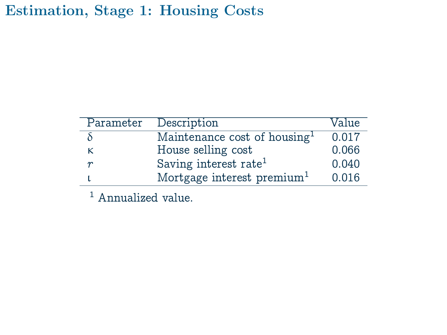Estimation, Stage 1: Housing Costs

| Parameter        | Description                              | Value |
|------------------|------------------------------------------|-------|
|                  | Maintenance cost of housing <sup>1</sup> | 0.017 |
| κ                | House selling cost                       | 0.066 |
| $\boldsymbol{r}$ | Saving interest rate <sup>1</sup>        | 0.040 |
|                  | Mortgage interest premium <sup>1</sup>   | 0.016 |

<sup>1</sup> Annualized value.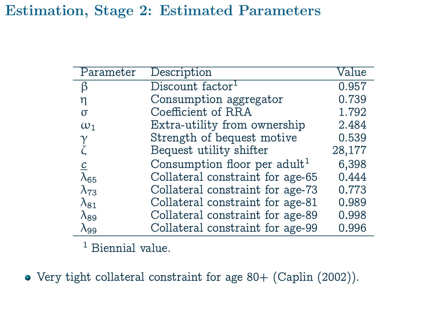### Estimation, Stage 2: Estimated Parameters

| Parameter      | Description                              | Value  |
|----------------|------------------------------------------|--------|
| ß              | Discount factor <sup>1</sup>             | 0.957  |
| η              | Consumption aggregator                   | 0.739  |
| σ              | Coefficient of RRA                       | 1.792  |
| $\omega_1$     | Extra-utility from ownership             | 2.484  |
| $\gamma$       | Strength of bequest motive               | 0.539  |
|                | Bequest utility shifter                  | 28,177 |
| $\overline{c}$ | Consumption floor per adult <sup>1</sup> | 6,398  |
| $\lambda_{65}$ | Collateral constraint for age-65         | 0.444  |
| $\lambda_{73}$ | Collateral constraint for age-73         | 0.773  |
| $\lambda_{81}$ | Collateral constraint for age-81         | 0.989  |
| $\lambda_{89}$ | Collateral constraint for age-89         | 0.998  |
| $\lambda$ 99   | Collateral constraint for age-99         | 0.996  |

<sup>1</sup> Biennial value.

Very tight collateral constraint for age 80+ (Caplin (2002)).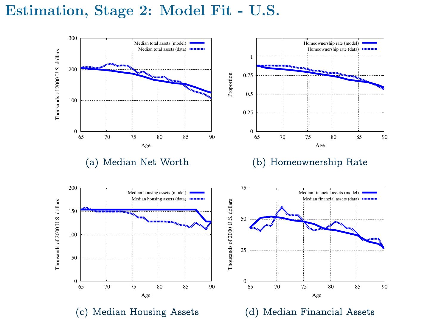#### Estimation, Stage 2: Model Fit - U.S.









(c) Median Housing Assets

(d) Median Financial Assets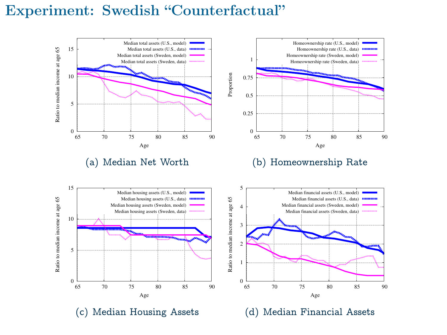#### Experiment: Swedish "Counterfactual"



(a) Median Net Worth



#### (b) Homeownership Rate

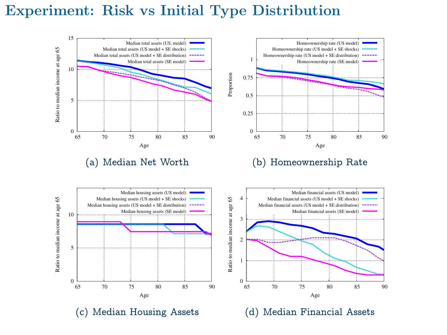### Experiment: Risk vs Initial Type Distribution



(a) Median Net Worth





(c) Median Housing Assets



(d) Median Financial Assets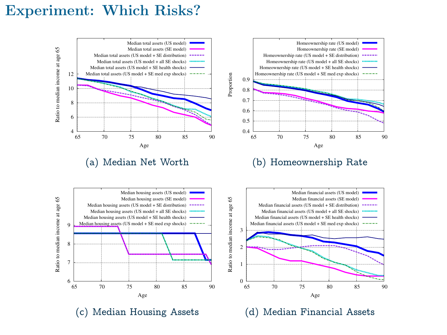#### Experiment: Which Risks?



(a) Median Net Worth





(c) Median Housing Assets



(d) Median Financial Assets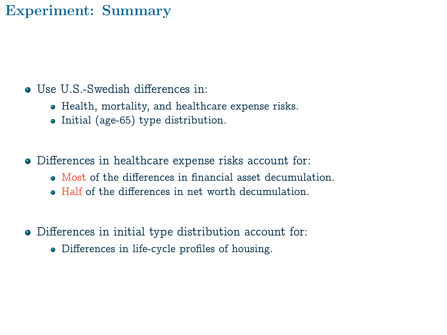### Experiment: Summary

- Use U.S.-Swedish differences in:
	- Health, mortality, and healthcare expense risks.
	- Initial (age-65) type distribution.
- Differences in healthcare expense risks account for:
	- Most of the differences in financial asset decumulation.
	- Half of the differences in net worth decumulation.
- Differences in initial type distribution account for:
	- Differences in life-cycle profiles of housing.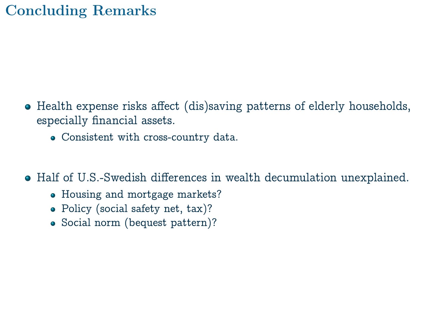## Concluding Remarks

- Health expense risks affect (dis)saving patterns of elderly households, especially financial assets.
	- Consistent with cross-country data.

Half of U.S.-Swedish differences in wealth decumulation unexplained.

- Housing and mortgage markets?
- Policy (social safety net, tax)?
- Social norm (bequest pattern)?